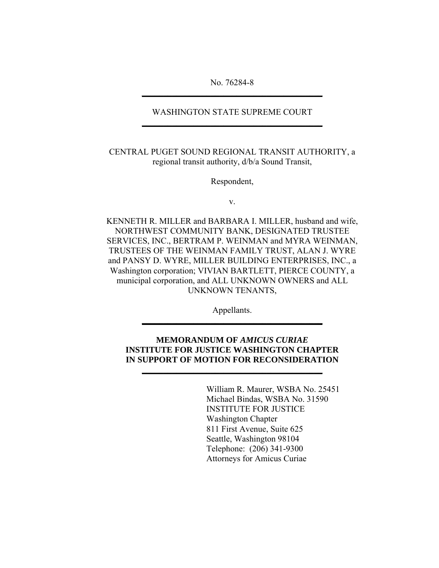No. 76284-8 **\_\_\_\_\_\_\_\_\_\_\_\_\_\_\_\_\_\_\_\_\_\_\_\_\_\_\_\_\_\_\_\_\_\_\_\_\_\_\_\_\_\_**

## WASHINGTON STATE SUPREME COURT **\_\_\_\_\_\_\_\_\_\_\_\_\_\_\_\_\_\_\_\_\_\_\_\_\_\_\_\_\_\_\_\_\_\_\_\_\_\_\_\_\_\_**

CENTRAL PUGET SOUND REGIONAL TRANSIT AUTHORITY, a regional transit authority, d/b/a Sound Transit,

Respondent,

v.

KENNETH R. MILLER and BARBARA I. MILLER, husband and wife, NORTHWEST COMMUNITY BANK, DESIGNATED TRUSTEE SERVICES, INC., BERTRAM P. WEINMAN and MYRA WEINMAN, TRUSTEES OF THE WEINMAN FAMILY TRUST, ALAN J. WYRE and PANSY D. WYRE, MILLER BUILDING ENTERPRISES, INC., a Washington corporation; VIVIAN BARTLETT, PIERCE COUNTY, a municipal corporation, and ALL UNKNOWN OWNERS and ALL UNKNOWN TENANTS,

> Appellants. **\_\_\_\_\_\_\_\_\_\_\_\_\_\_\_\_\_\_\_\_\_\_\_\_\_\_\_\_\_\_\_\_\_\_\_\_\_\_\_\_\_\_**

# **MEMORANDUM OF** *AMICUS CURIAE* **INSTITUTE FOR JUSTICE WASHINGTON CHAPTER IN SUPPORT OF MOTION FOR RECONSIDERATION**

**\_\_\_\_\_\_\_\_\_\_\_\_\_\_\_\_\_\_\_\_\_\_\_\_\_\_\_\_\_\_\_\_\_\_\_\_\_\_\_\_\_\_**

 William R. Maurer, WSBA No. 25451 Michael Bindas, WSBA No. 31590 INSTITUTE FOR JUSTICE Washington Chapter 811 First Avenue, Suite 625 Seattle, Washington 98104 Telephone: (206) 341-9300 Attorneys for Amicus Curiae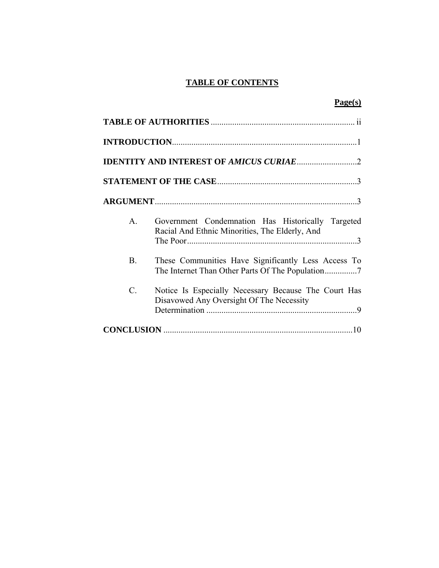# **TABLE OF CONTENTS**

|--|

| $\mathsf{A}$    | Government Condemnation Has Historically Targeted<br>Racial And Ethnic Minorities, The Elderly, And |  |  |
|-----------------|-----------------------------------------------------------------------------------------------------|--|--|
| <b>B.</b>       | These Communities Have Significantly Less Access To                                                 |  |  |
| $\mathcal{C}$ . | Notice Is Especially Necessary Because The Court Has<br>Disavowed Any Oversight Of The Necessity    |  |  |
|                 |                                                                                                     |  |  |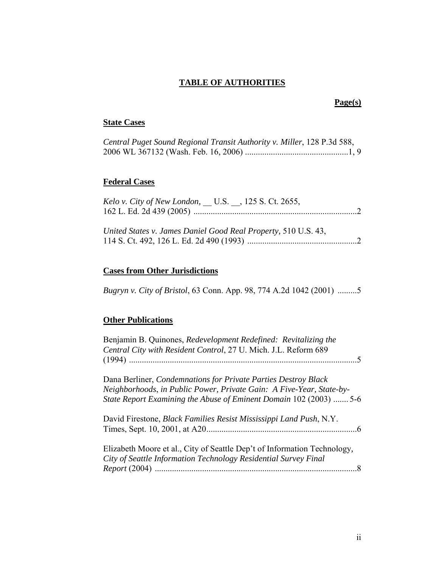# **TABLE OF AUTHORITIES**

# **Page(s)**

# **State Cases**

| Central Puget Sound Regional Transit Authority v. Miller, 128 P.3d 588, |  |
|-------------------------------------------------------------------------|--|
|                                                                         |  |

# **Federal Cases**

| Kelo v. City of New London, U.S., 125 S. Ct. 2655,             |  |
|----------------------------------------------------------------|--|
| United States v. James Daniel Good Real Property, 510 U.S. 43, |  |

# **Cases from Other Jurisdictions**

*Bugryn v. City of Bristol*, 63 Conn. App. 98, 774 A.2d 1042 (2001) .........5

# **Other Publications**

| Benjamin B. Quinones, Redevelopment Redefined: Revitalizing the<br>Central City with Resident Control, 27 U. Mich. J.L. Reform 689                                                                           |
|--------------------------------------------------------------------------------------------------------------------------------------------------------------------------------------------------------------|
| Dana Berliner, Condemnations for Private Parties Destroy Black<br>Neighborhoods, in Public Power, Private Gain: A Five-Year, State-by-<br>State Report Examining the Abuse of Eminent Domain 102 (2003)  5-6 |
| David Firestone, Black Families Resist Mississippi Land Push, N.Y.                                                                                                                                           |
| Elizabeth Moore et al., City of Seattle Dep't of Information Technology,<br>City of Seattle Information Technology Residential Survey Final                                                                  |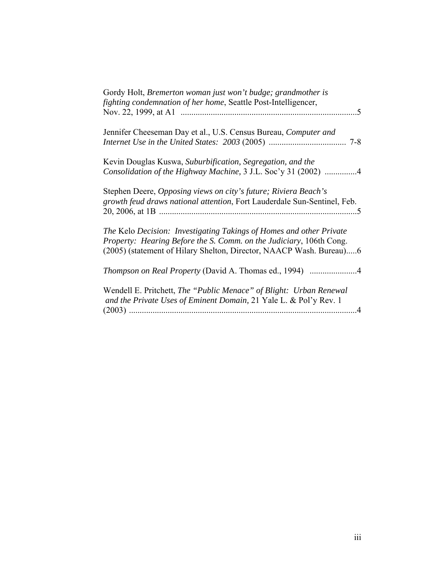| Gordy Holt, Bremerton woman just won't budge; grandmother is<br>fighting condemnation of her home, Seattle Post-Intelligencer,                                                                                    |
|-------------------------------------------------------------------------------------------------------------------------------------------------------------------------------------------------------------------|
| Jennifer Cheeseman Day et al., U.S. Census Bureau, Computer and                                                                                                                                                   |
| Kevin Douglas Kuswa, Suburbification, Segregation, and the<br>Consolidation of the Highway Machine, 3 J.L. Soc'y 31 (2002) 4                                                                                      |
| Stephen Deere, Opposing views on city's future; Riviera Beach's<br>growth feud draws national attention, Fort Lauderdale Sun-Sentinel, Feb.                                                                       |
| The Kelo Decision: Investigating Takings of Homes and other Private<br>Property: Hearing Before the S. Comm. on the Judiciary, 106th Cong.<br>(2005) (statement of Hilary Shelton, Director, NAACP Wash. Bureau)6 |
| Thompson on Real Property (David A. Thomas ed., 1994) 4                                                                                                                                                           |
| Wendell E. Pritchett, The "Public Menace" of Blight: Urban Renewal<br>and the Private Uses of Eminent Domain, 21 Yale L. & Pol'y Rev. 1<br>$\mathcal{A}$                                                          |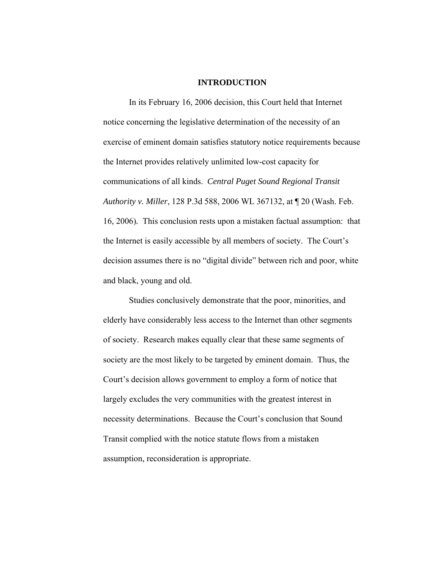#### **INTRODUCTION**

 In its February 16, 2006 decision, this Court held that Internet notice concerning the legislative determination of the necessity of an exercise of eminent domain satisfies statutory notice requirements because the Internet provides relatively unlimited low-cost capacity for communications of all kinds. *Central Puget Sound Regional Transit Authority v. Miller*, 128 P.3d 588, 2006 WL 367132, at ¶ 20 (Wash. Feb. 16, 2006)*.* This conclusion rests upon a mistaken factual assumption: that the Internet is easily accessible by all members of society. The Court's decision assumes there is no "digital divide" between rich and poor, white and black, young and old.

Studies conclusively demonstrate that the poor, minorities, and elderly have considerably less access to the Internet than other segments of society. Research makes equally clear that these same segments of society are the most likely to be targeted by eminent domain. Thus, the Court's decision allows government to employ a form of notice that largely excludes the very communities with the greatest interest in necessity determinations. Because the Court's conclusion that Sound Transit complied with the notice statute flows from a mistaken assumption, reconsideration is appropriate.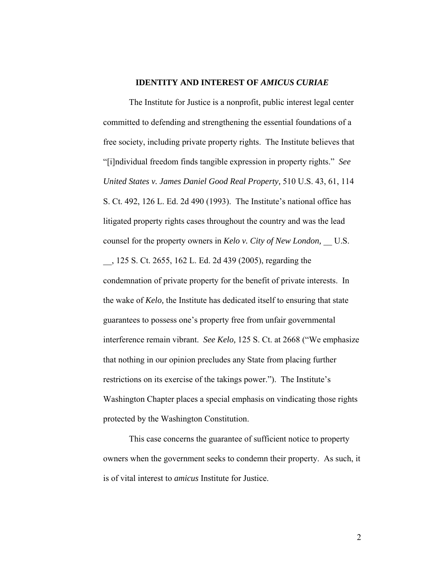### **IDENTITY AND INTEREST OF** *AMICUS CURIAE*

The Institute for Justice is a nonprofit, public interest legal center committed to defending and strengthening the essential foundations of a free society, including private property rights. The Institute believes that "[i]ndividual freedom finds tangible expression in property rights." *See United States v. James Daniel Good Real Property,* 510 U.S. 43, 61, 114 S. Ct. 492, 126 L. Ed. 2d 490 (1993). The Institute's national office has litigated property rights cases throughout the country and was the lead counsel for the property owners in *Kelo v. City of New London*, U.S. \_\_, 125 S. Ct. 2655, 162 L. Ed. 2d 439 (2005), regarding the condemnation of private property for the benefit of private interests. In the wake of *Kelo,* the Institute has dedicated itself to ensuring that state guarantees to possess one's property free from unfair governmental interference remain vibrant. *See Kelo,* 125 S. Ct. at 2668 ("We emphasize that nothing in our opinion precludes any State from placing further restrictions on its exercise of the takings power."). The Institute's Washington Chapter places a special emphasis on vindicating those rights protected by the Washington Constitution.

This case concerns the guarantee of sufficient notice to property owners when the government seeks to condemn their property. As such, it is of vital interest to *amicus* Institute for Justice.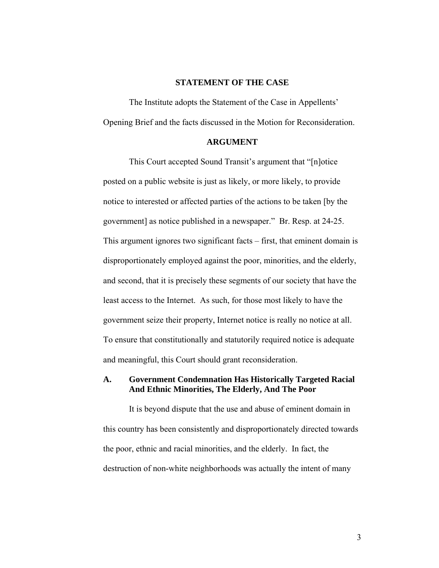## **STATEMENT OF THE CASE**

The Institute adopts the Statement of the Case in Appellents' Opening Brief and the facts discussed in the Motion for Reconsideration.

#### **ARGUMENT**

This Court accepted Sound Transit's argument that "[n]otice posted on a public website is just as likely, or more likely, to provide notice to interested or affected parties of the actions to be taken [by the government] as notice published in a newspaper." Br. Resp. at 24-25. This argument ignores two significant facts – first, that eminent domain is disproportionately employed against the poor, minorities, and the elderly, and second, that it is precisely these segments of our society that have the least access to the Internet. As such, for those most likely to have the government seize their property, Internet notice is really no notice at all. To ensure that constitutionally and statutorily required notice is adequate and meaningful, this Court should grant reconsideration.

### **A. Government Condemnation Has Historically Targeted Racial And Ethnic Minorities, The Elderly, And The Poor**

It is beyond dispute that the use and abuse of eminent domain in this country has been consistently and disproportionately directed towards the poor, ethnic and racial minorities, and the elderly. In fact, the destruction of non-white neighborhoods was actually the intent of many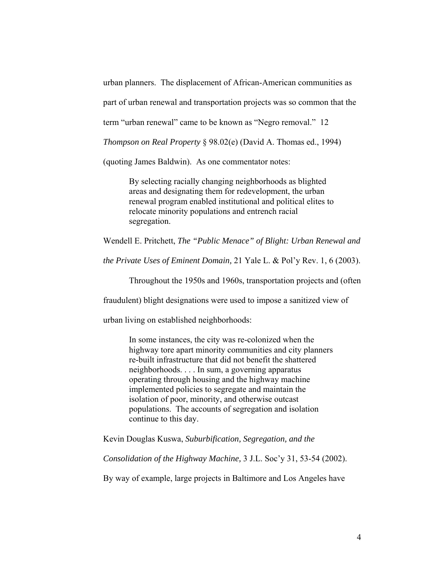urban planners. The displacement of African-American communities as

part of urban renewal and transportation projects was so common that the

term "urban renewal" came to be known as "Negro removal." 12

*Thompson on Real Property* § 98.02(e) (David A. Thomas ed., 1994)

(quoting James Baldwin). As one commentator notes:

By selecting racially changing neighborhoods as blighted areas and designating them for redevelopment, the urban renewal program enabled institutional and political elites to relocate minority populations and entrench racial segregation.

Wendell E. Pritchett, *The "Public Menace" of Blight: Urban Renewal and* 

*the Private Uses of Eminent Domain,* 21 Yale L. & Pol'y Rev. 1, 6 (2003).

Throughout the 1950s and 1960s, transportation projects and (often

fraudulent) blight designations were used to impose a sanitized view of

urban living on established neighborhoods:

In some instances, the city was re-colonized when the highway tore apart minority communities and city planners re-built infrastructure that did not benefit the shattered neighborhoods. . . . In sum, a governing apparatus operating through housing and the highway machine implemented policies to segregate and maintain the isolation of poor, minority, and otherwise outcast populations. The accounts of segregation and isolation continue to this day.

Kevin Douglas Kuswa, *Suburbification, Segregation, and the* 

*Consolidation of the Highway Machine,* 3 J.L. Soc'y 31, 53-54 (2002).

By way of example, large projects in Baltimore and Los Angeles have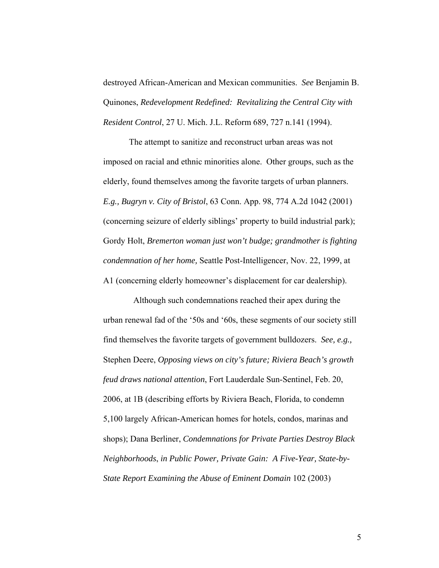destroyed African-American and Mexican communities. *See* Benjamin B. Quinones, *Redevelopment Redefined: Revitalizing the Central City with Resident Control*, 27 U. Mich. J.L. Reform 689, 727 n.141 (1994).

The attempt to sanitize and reconstruct urban areas was not imposed on racial and ethnic minorities alone. Other groups, such as the elderly, found themselves among the favorite targets of urban planners. *E.g., Bugryn v. City of Bristol*, 63 Conn. App. 98, 774 A.2d 1042 (2001) (concerning seizure of elderly siblings' property to build industrial park); Gordy Holt, *Bremerton woman just won't budge; grandmother is fighting condemnation of her home,* Seattle Post-Intelligencer, Nov. 22, 1999, at A1 (concerning elderly homeowner's displacement for car dealership).

 Although such condemnations reached their apex during the urban renewal fad of the '50s and '60s, these segments of our society still find themselves the favorite targets of government bulldozers. *See, e.g.,*  Stephen Deere, *Opposing views on city's future; Riviera Beach's growth feud draws national attention*, Fort Lauderdale Sun-Sentinel, Feb. 20, 2006, at 1B (describing efforts by Riviera Beach, Florida, to condemn 5,100 largely African-American homes for hotels, condos, marinas and shops); Dana Berliner, *Condemnations for Private Parties Destroy Black Neighborhoods*, *in Public Power, Private Gain: A Five-Year, State-by-State Report Examining the Abuse of Eminent Domain* 102 (2003)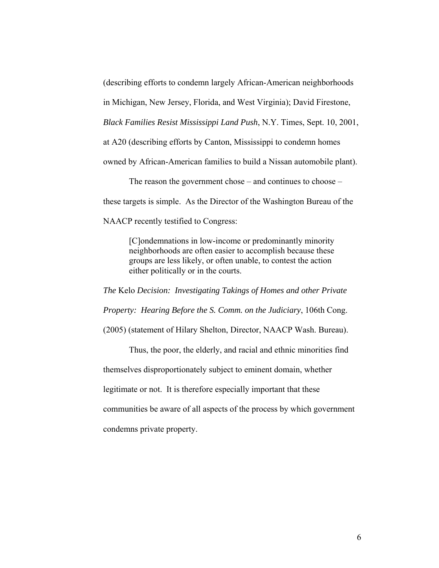(describing efforts to condemn largely African-American neighborhoods

in Michigan, New Jersey, Florida, and West Virginia); David Firestone,

*Black Families Resist Mississippi Land Push*, N.Y. Times, Sept. 10, 2001,

at A20 (describing efforts by Canton, Mississippi to condemn homes

owned by African-American families to build a Nissan automobile plant).

The reason the government chose – and continues to choose – these targets is simple. As the Director of the Washington Bureau of the NAACP recently testified to Congress:

> [C]ondemnations in low-income or predominantly minority neighborhoods are often easier to accomplish because these groups are less likely, or often unable, to contest the action either politically or in the courts.

*The* Kelo *Decision: Investigating Takings of Homes and other Private Property: Hearing Before the S. Comm. on the Judiciary*, 106th Cong. (2005) (statement of Hilary Shelton, Director, NAACP Wash. Bureau).

Thus, the poor, the elderly, and racial and ethnic minorities find themselves disproportionately subject to eminent domain, whether legitimate or not. It is therefore especially important that these communities be aware of all aspects of the process by which government condemns private property.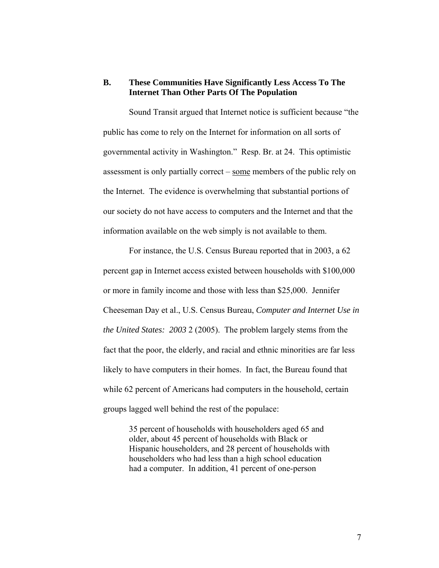# **B. These Communities Have Significantly Less Access To The Internet Than Other Parts Of The Population**

Sound Transit argued that Internet notice is sufficient because "the public has come to rely on the Internet for information on all sorts of governmental activity in Washington." Resp. Br. at 24. This optimistic assessment is only partially correct – some members of the public rely on the Internet. The evidence is overwhelming that substantial portions of our society do not have access to computers and the Internet and that the information available on the web simply is not available to them.

For instance, the U.S. Census Bureau reported that in 2003, a 62 percent gap in Internet access existed between households with \$100,000 or more in family income and those with less than \$25,000. Jennifer Cheeseman Day et al., U.S. Census Bureau, *Computer and Internet Use in the United States: 2003* 2 (2005). The problem largely stems from the fact that the poor, the elderly, and racial and ethnic minorities are far less likely to have computers in their homes. In fact, the Bureau found that while 62 percent of Americans had computers in the household, certain groups lagged well behind the rest of the populace:

35 percent of households with householders aged 65 and older, about 45 percent of households with Black or Hispanic householders, and 28 percent of households with householders who had less than a high school education had a computer. In addition, 41 percent of one-person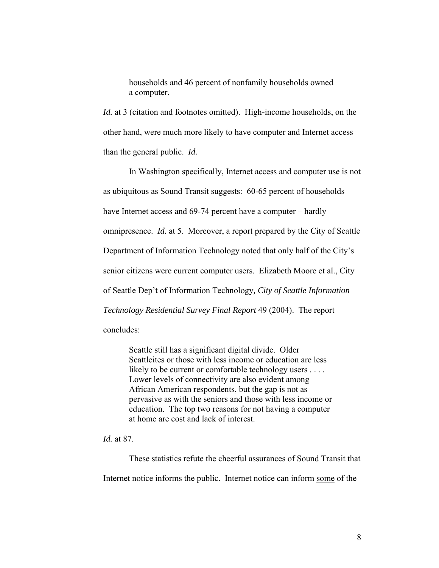households and 46 percent of nonfamily households owned a computer.

*Id.* at 3 (citation and footnotes omitted). High-income households, on the other hand, were much more likely to have computer and Internet access than the general public. *Id.* 

In Washington specifically, Internet access and computer use is not as ubiquitous as Sound Transit suggests: 60-65 percent of households have Internet access and 69-74 percent have a computer – hardly omnipresence. *Id.* at 5. Moreover, a report prepared by the City of Seattle Department of Information Technology noted that only half of the City's senior citizens were current computer users. Elizabeth Moore et al., City of Seattle Dep't of Information Technology*, City of Seattle Information Technology Residential Survey Final Report* 49 (2004). The report concludes:

Seattle still has a significant digital divide. Older Seattleites or those with less income or education are less likely to be current or comfortable technology users . . . . Lower levels of connectivity are also evident among African American respondents, but the gap is not as pervasive as with the seniors and those with less income or education. The top two reasons for not having a computer at home are cost and lack of interest.

*Id.* at 87.

These statistics refute the cheerful assurances of Sound Transit that Internet notice informs the public. Internet notice can inform some of the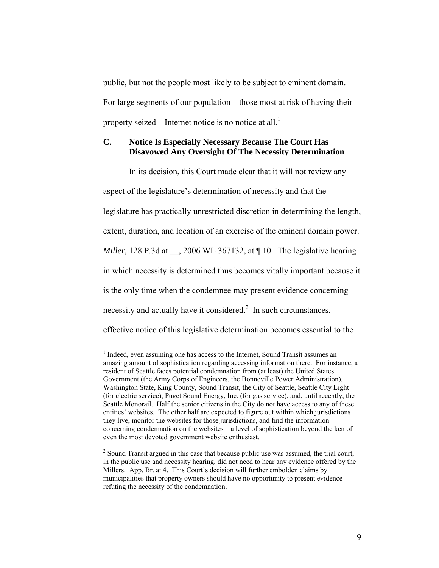public, but not the people most likely to be subject to eminent domain. For large segments of our population – those most at risk of having their property seized – Internet notice is no notice at all.<sup>1</sup>

# **C. Notice Is Especially Necessary Because The Court Has Disavowed Any Oversight Of The Necessity Determination**

In its decision, this Court made clear that it will not review any aspect of the legislature's determination of necessity and that the legislature has practically unrestricted discretion in determining the length, extent, duration, and location of an exercise of the eminent domain power. *Miller*, 128 P.3d at , 2006 WL 367132, at ¶ 10. The legislative hearing in which necessity is determined thus becomes vitally important because it is the only time when the condemnee may present evidence concerning necessity and actually have it considered. $2$  In such circumstances, effective notice of this legislative determination becomes essential to the

 $\overline{a}$ 

<span id="page-12-0"></span><sup>&</sup>lt;sup>1</sup> Indeed, even assuming one has access to the Internet, Sound Transit assumes an amazing amount of sophistication regarding accessing information there. For instance, a resident of Seattle faces potential condemnation from (at least) the United States Government (the Army Corps of Engineers, the Bonneville Power Administration), Washington State, King County, Sound Transit, the City of Seattle, Seattle City Light (for electric service), Puget Sound Energy, Inc. (for gas service), and, until recently, the Seattle Monorail. Half the senior citizens in the City do not have access to any of these entities' websites. The other half are expected to figure out within which jurisdictions they live, monitor the websites for those jurisdictions, and find the information concerning condemnation on the websites – a level of sophistication beyond the ken of even the most devoted government website enthusiast.

<span id="page-12-1"></span> $2^{2}$  Sound Transit argued in this case that because public use was assumed, the trial court, in the public use and necessity hearing, did not need to hear any evidence offered by the Millers. App. Br. at 4. This Court's decision will further embolden claims by municipalities that property owners should have no opportunity to present evidence refuting the necessity of the condemnation.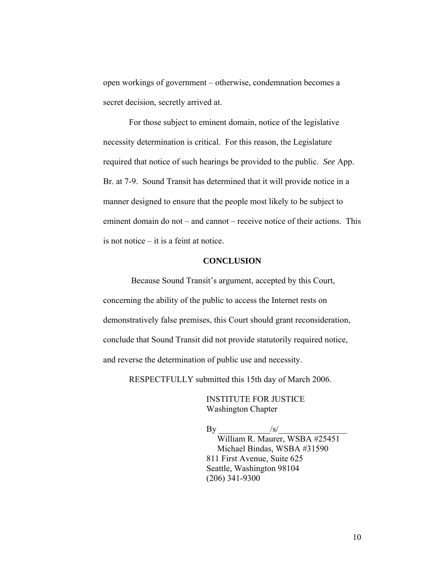open workings of government – otherwise, condemnation becomes a secret decision, secretly arrived at.

For those subject to eminent domain, notice of the legislative necessity determination is critical. For this reason, the Legislature required that notice of such hearings be provided to the public. *See* App. Br. at 7-9. Sound Transit has determined that it will provide notice in a manner designed to ensure that the people most likely to be subject to eminent domain do not – and cannot – receive notice of their actions. This is not notice – it is a feint at notice.

## **CONCLUSION**

 Because Sound Transit's argument, accepted by this Court, concerning the ability of the public to access the Internet rests on demonstratively false premises, this Court should grant reconsideration, conclude that Sound Transit did not provide statutorily required notice, and reverse the determination of public use and necessity.

RESPECTFULLY submitted this 15th day of March 2006.

 INSTITUTE FOR JUSTICE Washington Chapter

 $\mathbf{By}$  and  $\mathbf{By}$  William R. Maurer, WSBA #25451 Michael Bindas, WSBA #31590 811 First Avenue, Suite 625 Seattle, Washington 98104 (206) 341-9300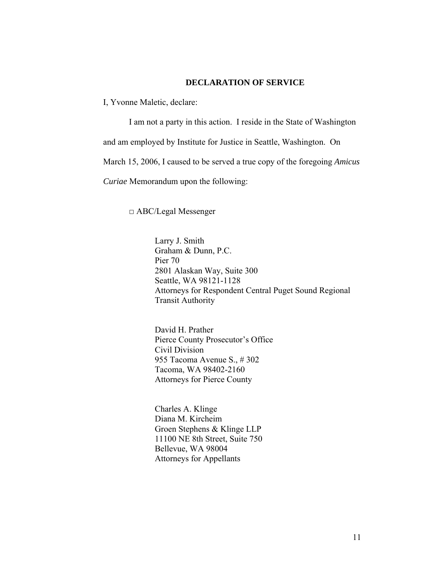## **DECLARATION OF SERVICE**

I, Yvonne Maletic, declare:

I am not a party in this action. I reside in the State of Washington and am employed by Institute for Justice in Seattle, Washington. On March 15, 2006, I caused to be served a true copy of the foregoing *Amicus Curiae* Memorandum upon the following:

□ ABC/Legal Messenger

Larry J. Smith Graham & Dunn, P.C. Pier 70 2801 Alaskan Way, Suite 300 Seattle, WA 98121-1128 Attorneys for Respondent Central Puget Sound Regional Transit Authority

David H. Prather Pierce County Prosecutor's Office Civil Division 955 Tacoma Avenue S., # 302 Tacoma, WA 98402-2160 Attorneys for Pierce County

Charles A. Klinge Diana M. Kircheim Groen Stephens & Klinge LLP 11100 NE 8th Street, Suite 750 Bellevue, WA 98004 Attorneys for Appellants